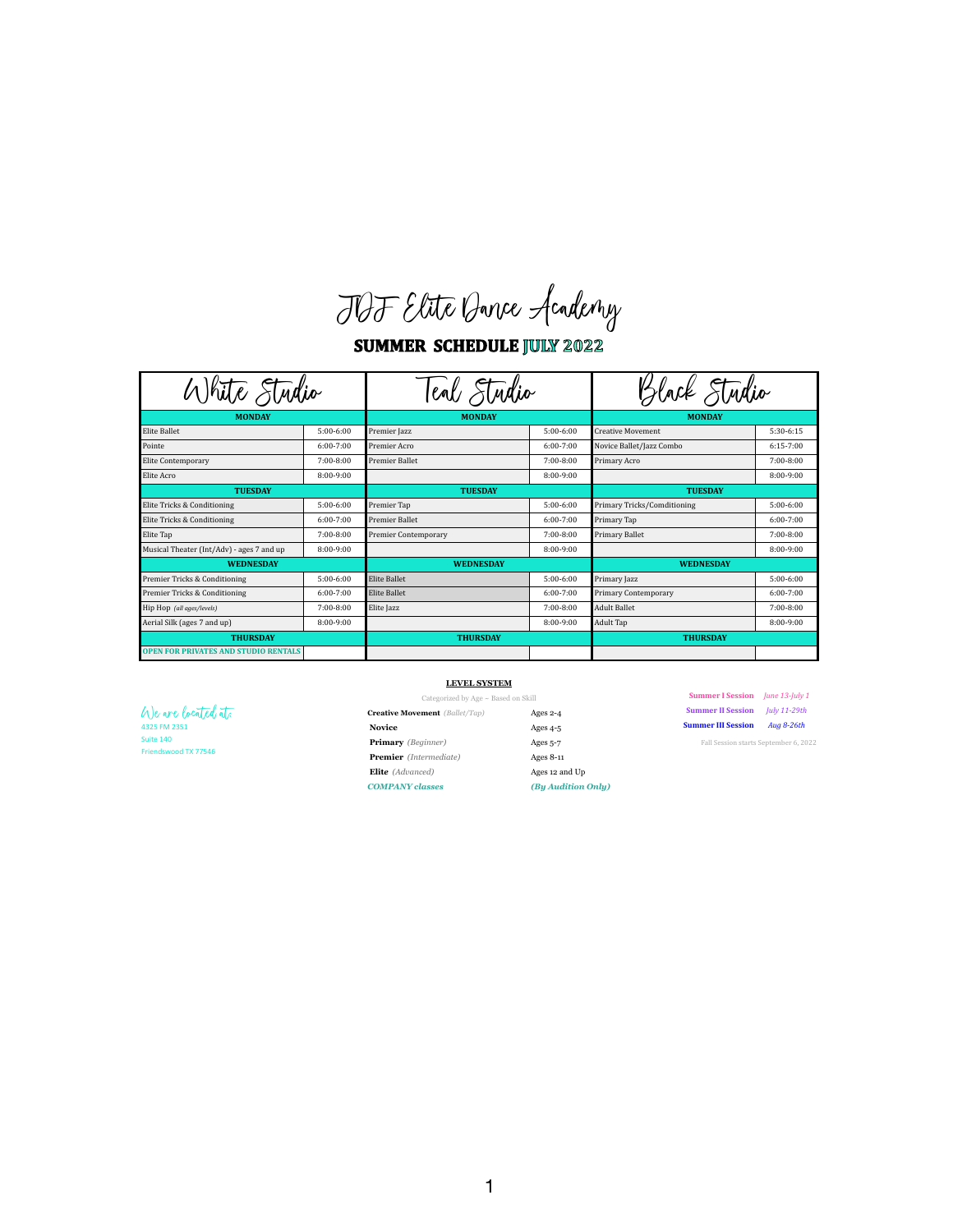JDF Elite Dance Academy

**SUMMER SCHEDULE JULY 2022** 

| Kite Studio                                 |               | enl Studio                  |               | ack Studio                         |               |
|---------------------------------------------|---------------|-----------------------------|---------------|------------------------------------|---------------|
| <b>MONDAY</b>                               |               | <b>MONDAY</b>               |               | <b>MONDAY</b>                      |               |
| <b>Elite Ballet</b>                         | $5:00-6:00$   | Premier Jazz                | $5:00-6:00$   | <b>Creative Movement</b>           | 5:30-6:15     |
| Pointe                                      | $6:00 - 7:00$ | Premier Acro                | $6:00 - 7:00$ | Novice Ballet/Jazz Combo           | $6:15-7:00$   |
| Elite Contemporary                          | $7:00 - 8:00$ | <b>Premier Ballet</b>       | $7:00-8:00$   | Primary Acro                       | $7:00-8:00$   |
| Elite Acro                                  | 8:00-9:00     |                             | $8:00 - 9:00$ |                                    | 8:00-9:00     |
| <b>TUESDAY</b>                              |               | <b>TUESDAY</b>              |               | <b>TUESDAY</b>                     |               |
| Elite Tricks & Conditioning                 | $5:00-6:00$   | Premier Tap                 | $5:00-6:00$   | <b>Primary Tricks/Comditioning</b> | $5:00-6:00$   |
| Elite Tricks & Conditioning                 | $6:00 - 7:00$ | <b>Premier Ballet</b>       | $6:00-7:00$   | Primary Tap                        | $6:00 - 7:00$ |
| Elite Tap                                   | $7:00 - 8:00$ | <b>Premier Contemporary</b> | $7:00-8:00$   | <b>Primary Ballet</b>              | $7:00-8:00$   |
| Musical Theater (Int/Adv) - ages 7 and up   | 8:00-9:00     |                             | $8:00-9:00$   |                                    | 8:00-9:00     |
| <b>WEDNESDAY</b>                            |               | <b>WEDNESDAY</b>            |               | <b>WEDNESDAY</b>                   |               |
| Premier Tricks & Conditioning               | $5:00-6:00$   | Elite Ballet                | $5:00-6:00$   | Primary Jazz                       | $5:00-6:00$   |
| Premier Tricks & Conditioning               | $6:00 - 7:00$ | <b>Elite Ballet</b>         | $6:00-7:00$   | <b>Primary Contemporary</b>        | $6:00 - 7:00$ |
| Hip Hop (all ages/levels)                   | $7:00 - 8:00$ | Elite Jazz                  | $7:00-8:00$   | <b>Adult Ballet</b>                | $7:00-8:00$   |
| Aerial Silk (ages 7 and up)                 | 8:00-9:00     |                             | $8:00-9:00$   | <b>Adult Tap</b>                   | 8:00-9:00     |
| <b>THURSDAY</b>                             |               | <b>THURSDAY</b>             |               | <b>THURSDAY</b>                    |               |
| <b>OPEN FOR PRIVATES AND STUDIO RENTALS</b> |               |                             |               |                                    |               |

| Categorized by Age $\sim$ Based on Skill |            | <b>Summer I Session</b> <i>June 13-July 1</i> |            |
|------------------------------------------|------------|-----------------------------------------------|------------|
| <b>ment</b> (Ballet/Tap)                 | Ages $2-4$ | <b>Summer II Session</b> <i>July 11-29th</i>  |            |
|                                          | Ages $4-5$ | <b>Summer III Session</b>                     | Aua 8-26th |

|                                   | <b>LEVEL SYSTEM</b>                      |                |                                              |  |
|-----------------------------------|------------------------------------------|----------------|----------------------------------------------|--|
|                                   | Categorized by Age $\sim$ Based on Skill |                | <b>Summer I Session</b> June 13-July 1       |  |
| We are located at:                | <b>Creative Movement</b> (Ballet/Tap)    | Ages $2-4$     | <b>Summer II Session</b> <i>July 11-29th</i> |  |
| 4325 FM 2351                      | <b>Novice</b>                            | Ages $4-5$     | <b>Summer III Session</b><br>Aug 8-26th      |  |
| Suite 140<br>Friendswood TX 77546 | <b>Primary</b> ( <i>Beginner</i> )       | Ages $5-7$     | Fall Session starts September 6, 2022        |  |
|                                   | <b>Premier</b> (Intermediate)            | Ages $8-11$    |                                              |  |
|                                   | <b>Elite</b> (Advanced)                  | Ages 12 and Up |                                              |  |

| ategorized by Age ~ Based on Skill |  |  |  |  |  |  |
|------------------------------------|--|--|--|--|--|--|
|------------------------------------|--|--|--|--|--|--|

| <b>Creative Movement</b> (Ballet/Tap) | Ages $2-4$         |
|---------------------------------------|--------------------|
| <b>Novice</b>                         | Ages $4-5$         |
| <b>Primary</b> ( <i>Beginner</i> )    | Ages $5-7$         |
| <b>Premier</b> (Intermediate)         | Ages 8-11          |
| <b>Elite</b> (Advanced)               | Ages 12 and Up     |
| <b>COMPANY classes</b>                | (By Audition Only) |